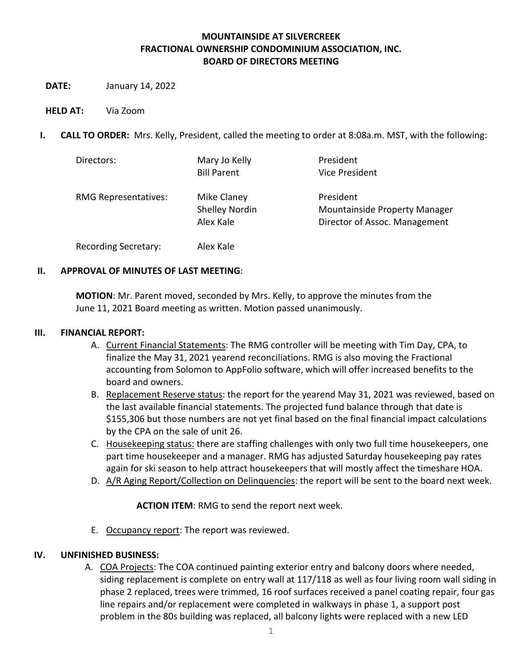### **MOUNTAINSIDE AT SILVERCREEK FRACTIONAL OWNERSHIP CONDOMINIUM ASSOCIATION, INC. BOARD OF DIRECTORS MEETING**

- **DATE:** January 14, 2022
- **HELD AT:** Via Zoom
- **I. CALL TO ORDER:** Mrs. Kelly, President, called the meeting to order at 8:08a.m. MST, with the following:

| Directors:                  | Mary Jo Kelly<br><b>Bill Parent</b>               | President<br>Vice President                                                        |
|-----------------------------|---------------------------------------------------|------------------------------------------------------------------------------------|
| <b>RMG Representatives:</b> | Mike Claney<br><b>Shelley Nordin</b><br>Alex Kale | President<br><b>Mountainside Property Manager</b><br>Director of Assoc. Management |
| <b>Recording Secretary:</b> | Alex Kale                                         |                                                                                    |

### **II. APPROVAL OF MINUTES OF LAST MEETING**:

**MOTION**: Mr. Parent moved, seconded by Mrs. Kelly, to approve the minutes from the June 11, 2021 Board meeting as written. Motion passed unanimously.

#### **III. FINANCIAL REPORT:**

- A. Current Financial Statements: The RMG controller will be meeting with Tim Day, CPA, to finalize the May 31, 2021 yearend reconciliations. RMG is also moving the Fractional accounting from Solomon to AppFolio software, which will offer increased benefits to the board and owners.
- B. Replacement Reserve status: the report for the yearend May 31, 2021 was reviewed, based on the last available financial statements. The projected fund balance through that date is \$155,306 but those numbers are not yet final based on the final financial impact calculations by the CPA on the sale of unit 26.
- C. Housekeeping status: there are staffing challenges with only two full time housekeepers, one part time housekeeper and a manager. RMG has adjusted Saturday housekeeping pay rates again for ski season to help attract housekeepers that will mostly affect the timeshare HOA.
- D. A/R Aging Report/Collection on Delinquencies: the report will be sent to the board next week.

**ACTION ITEM**: RMG to send the report next week.

E. Occupancy report: The report was reviewed.

#### **IV. UNFINISHED BUSINESS:**

A. COA Projects: The COA continued painting exterior entry and balcony doors where needed, siding replacement is complete on entry wall at 117/118 as well as four living room wall siding in phase 2 replaced, trees were trimmed, 16 roof surfaces received a panel coating repair, four gas line repairs and/or replacement were completed in walkways in phase 1, a support post problem in the 80s building was replaced, all balcony lights were replaced with a new LED